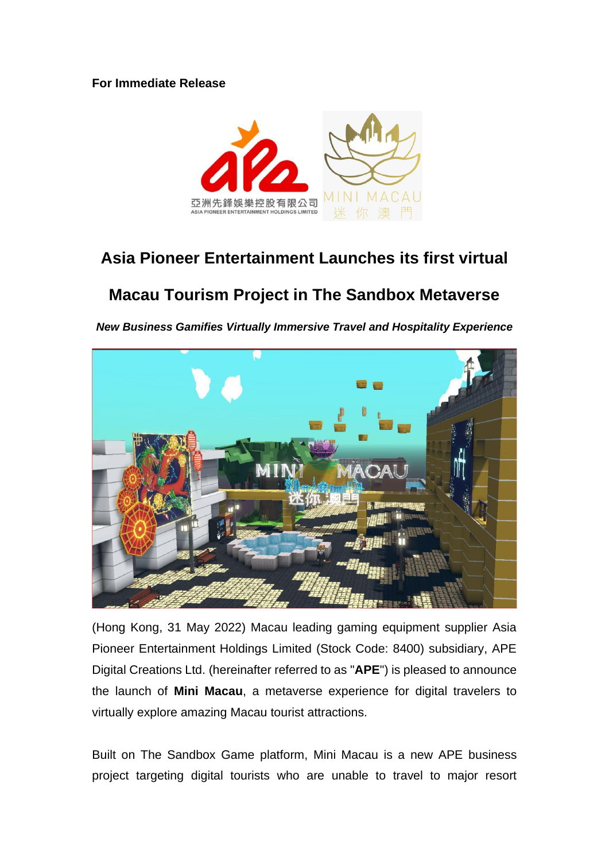### **For Immediate Release**



# **Asia Pioneer Entertainment Launches its first virtual**

# **Macau Tourism Project in The Sandbox Metaverse**

*New Business Gamifies Virtually Immersive Travel and Hospitality Experience*



(Hong Kong, 31 May 2022) Macau leading gaming equipment supplier Asia Pioneer Entertainment Holdings Limited (Stock Code: 8400) subsidiary, APE Digital Creations Ltd. (hereinafter referred to as "**APE**") is pleased to announce the launch of **Mini Macau**, a metaverse experience for digital travelers to virtually explore amazing Macau tourist attractions.

Built on The Sandbox Game platform, Mini Macau is a new APE business project targeting digital tourists who are unable to travel to major resort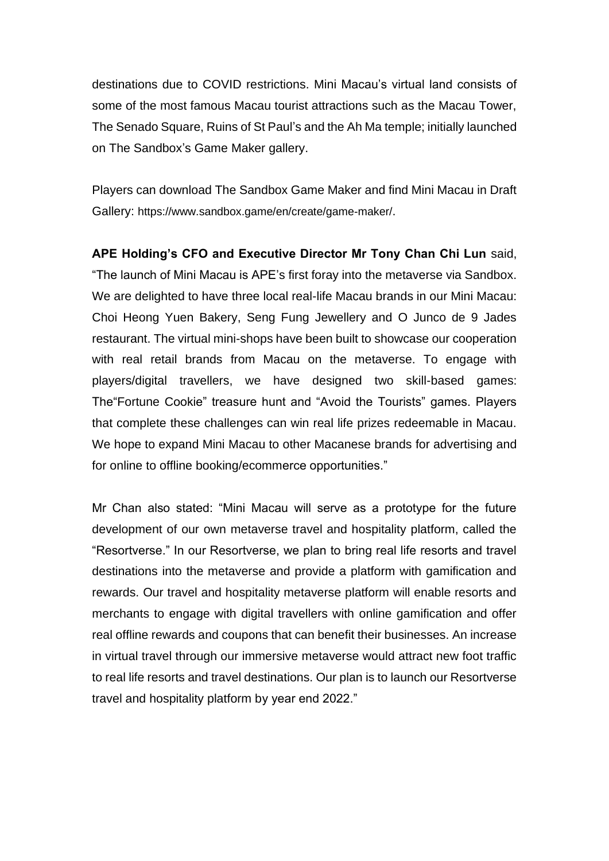destinations due to COVID restrictions. Mini Macau's virtual land consists of some of the most famous Macau tourist attractions such as the Macau Tower, The Senado Square, Ruins of St Paul's and the Ah Ma temple; initially launched on The Sandbox's Game Maker gallery.

Players can download The Sandbox Game Maker and find Mini Macau in Draft Gallery: <https://www.sandbox.game/en/create/game-maker/>.

**APE Holding's CFO and Executive Director Mr Tony Chan Chi Lun** said, "The launch of Mini Macau is APE's first foray into the metaverse via Sandbox. We are delighted to have three local real-life Macau brands in our Mini Macau: Choi Heong Yuen Bakery, Seng Fung Jewellery and O Junco de 9 Jades restaurant. The virtual mini-shops have been built to showcase our cooperation with real retail brands from Macau on the metaverse. To engage with players/digital travellers, we have designed two skill-based games: The"Fortune Cookie" treasure hunt and "Avoid the Tourists" games. Players that complete these challenges can win real life prizes redeemable in Macau. We hope to expand Mini Macau to other Macanese brands for advertising and for online to offline booking/ecommerce opportunities."

Mr Chan also stated: "Mini Macau will serve as a prototype for the future development of our own metaverse travel and hospitality platform, called the "Resortverse." In our Resortverse, we plan to bring real life resorts and travel destinations into the metaverse and provide a platform with gamification and rewards. Our travel and hospitality metaverse platform will enable resorts and merchants to engage with digital travellers with online gamification and offer real offline rewards and coupons that can benefit their businesses. An increase in virtual travel through our immersive metaverse would attract new foot traffic to real life resorts and travel destinations. Our plan is to launch our Resortverse travel and hospitality platform by year end 2022."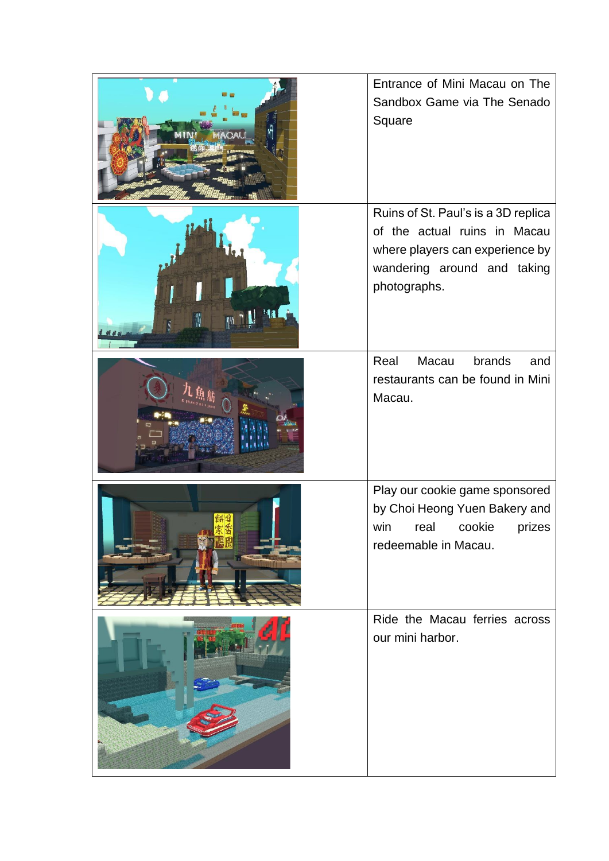|   | Entrance of Mini Macau on The<br>Sandbox Game via The Senado<br>Square                                                                                |
|---|-------------------------------------------------------------------------------------------------------------------------------------------------------|
| W | Ruins of St. Paul's is a 3D replica<br>of the actual ruins in Macau<br>where players can experience by<br>wandering around and taking<br>photographs. |
|   | Macau<br>brands<br>Real<br>and<br>restaurants can be found in Mini<br>Macau.                                                                          |
|   | Play our cookie game sponsored<br>by Choi Heong Yuen Bakery and<br>cookie<br>win<br>prizes<br>real<br>redeemable in Macau.                            |
|   | Ride the Macau ferries across<br>our mini harbor.                                                                                                     |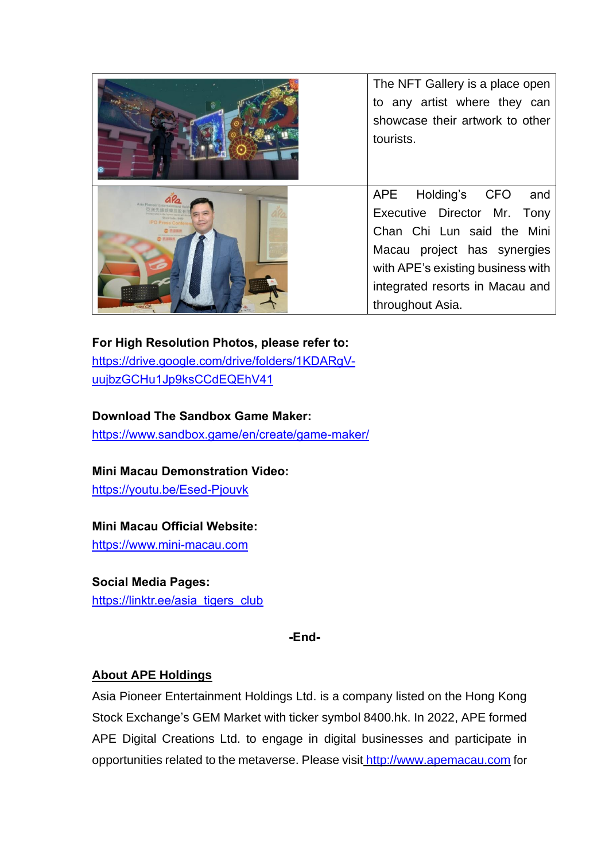|  | The NFT Gallery is a place open<br>to any artist where they can<br>showcase their artwork to other<br>tourists. |
|--|-----------------------------------------------------------------------------------------------------------------|
|  | APE Holding's CFO<br>and                                                                                        |
|  | Executive Director Mr.<br>Tony                                                                                  |
|  | Chan Chi Lun said the Mini                                                                                      |
|  | Macau project has synergies                                                                                     |
|  | with APE's existing business with                                                                               |
|  | integrated resorts in Macau and                                                                                 |
|  | throughout Asia.                                                                                                |

### **For High Resolution Photos, please refer to:**

[https://drive.google.com/drive/folders/1KDARgV](https://drive.google.com/drive/folders/1KDARgV-uujbzGCHu1Jp9ksCCdEQEhV41)[uujbzGCHu1Jp9ksCCdEQEhV41](https://drive.google.com/drive/folders/1KDARgV-uujbzGCHu1Jp9ksCCdEQEhV41)

### **Download The Sandbox Game Maker:**

https://www.sandbox.game/en/create/game-maker/

#### **Mini Macau Demonstration Video:**

<https://youtu.be/Esed-Pjouvk>

## **Mini Macau Official Website:**

https://www.mini-macau.com

# **Social Media Pages:**  https://linktr.ee/asia\_tigers\_club

**-End-**

## **About APE Holdings**

Asia Pioneer Entertainment Holdings Ltd. is a company listed on the Hong Kong Stock Exchange's GEM Market with ticker symbol 8400.hk. In 2022, APE formed APE Digital Creations Ltd. to engage in digital businesses and participate in opportunities related to the metaverse. Please visit [http://www.apemacau.com](http://www.apemacau.com/) for